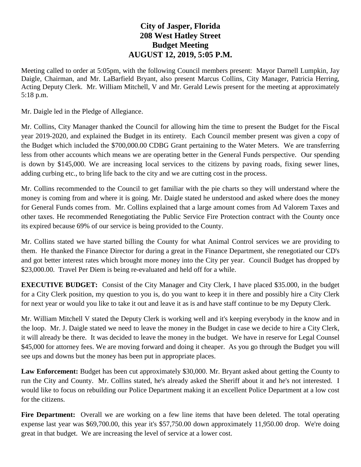## **City of Jasper, Florida 208 West Hatley Street Budget Meeting AUGUST 12, 2019, 5:05 P.M.**

Meeting called to order at 5:05pm, with the following Council members present: Mayor Darnell Lumpkin, Jay Daigle, Chairman, and Mr. LaBarfield Bryant, also present Marcus Collins, City Manager, Patricia Herring, Acting Deputy Clerk. Mr. William Mitchell, V and Mr. Gerald Lewis present for the meeting at approximately 5:18 p.m.

Mr. Daigle led in the Pledge of Allegiance.

Mr. Collins, City Manager thanked the Council for allowing him the time to present the Budget for the Fiscal year 2019-2020, and explained the Budget in its entirety. Each Council member present was given a copy of the Budget which included the \$700,000.00 CDBG Grant pertaining to the Water Meters. We are transferring less from other accounts which means we are operating better in the General Funds perspective. Our spending is down by \$145,000. We are increasing local services to the citizens by paving roads, fixing sewer lines, adding curbing etc., to bring life back to the city and we are cutting cost in the process.

Mr. Collins recommended to the Council to get familiar with the pie charts so they will understand where the money is coming from and where it is going. Mr. Daigle stated he understood and asked where does the money for General Funds comes from. Mr. Collins explained that a large amount comes from Ad Valorem Taxes and other taxes. He recommended Renegotiating the Public Service Fire Protection contract with the County once its expired because 69% of our service is being provided to the County.

Mr. Collins stated we have started billing the County for what Animal Control services we are providing to them. He thanked the Finance Director for during a great in the Finance Department, she renegotiated our CD's and got better interest rates which brought more money into the City per year. Council Budget has dropped by \$23,000.00. Travel Per Diem is being re-evaluated and held off for a while.

**EXECUTIVE BUDGET:** Consist of the City Manager and City Clerk, I have placed \$35.000, in the budget for a City Clerk position, my question to you is, do you want to keep it in there and possibly hire a City Clerk for next year or would you like to take it out and leave it as is and have staff continue to be my Deputy Clerk.

Mr. William Mitchell V stated the Deputy Clerk is working well and it's keeping everybody in the know and in the loop. Mr. J. Daigle stated we need to leave the money in the Budget in case we decide to hire a City Clerk, it will already be there. It was decided to leave the money in the budget. We have in reserve for Legal Counsel \$45,000 for attorney fees. We are moving forward and doing it cheaper. As you go through the Budget you will see ups and downs but the money has been put in appropriate places.

**Law Enforcement:** Budget has been cut approximately \$30,000. Mr. Bryant asked about getting the County to run the City and County. Mr. Collins stated, he's already asked the Sheriff about it and he's not interested. I would like to focus on rebuilding our Police Department making it an excellent Police Department at a low cost for the citizens.

Fire Department: Overall we are working on a few line items that have been deleted. The total operating expense last year was \$69,700.00, this year it's \$57,750.00 down approximately 11,950.00 drop. We're doing great in that budget. We are increasing the level of service at a lower cost.